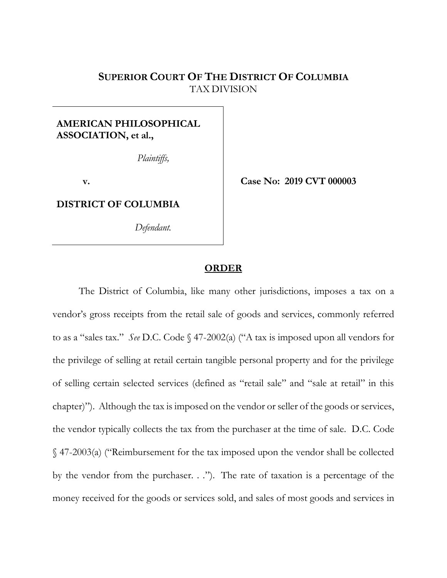# **SUPERIOR COURT OF THE DISTRICT OF COLUMBIA** TAX DIVISION

# **AMERICAN PHILOSOPHICAL ASSOCIATION, et al.,**

 *Plaintiffs,*

**v.**

**DISTRICT OF COLUMBIA**

*Defendant.*

**Case No: 2019 CVT 000003**

## **ORDER**

The District of Columbia, like many other jurisdictions, imposes a tax on a vendor's gross receipts from the retail sale of goods and services, commonly referred to as a "sales tax." *See* D.C. Code § 47-2002(a) ("A tax is imposed upon all vendors for the privilege of selling at retail certain tangible personal property and for the privilege of selling certain selected services (defined as "retail sale" and "sale at retail" in this chapter)"). Although the tax is imposed on the vendor or seller of the goods or services, the vendor typically collects the tax from the purchaser at the time of sale. D.C. Code § 47-2003(a) ("Reimbursement for the tax imposed upon the vendor shall be collected by the vendor from the purchaser. . ."). The rate of taxation is a percentage of the money received for the goods or services sold, and sales of most goods and services in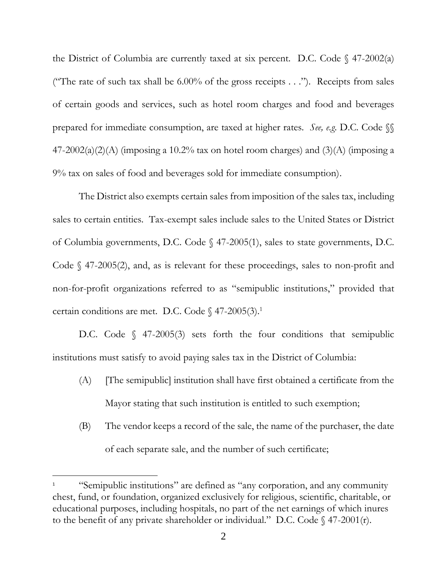the District of Columbia are currently taxed at six percent. D.C. Code  $\S$  47-2002(a) ("The rate of such tax shall be  $6.00\%$  of the gross receipts . . ."). Receipts from sales of certain goods and services, such as hotel room charges and food and beverages prepared for immediate consumption, are taxed at higher rates. *See, e.g*. D.C. Code §§  $47-2002(a)(2)(A)$  (imposing a 10.2% tax on hotel room charges) and (3)(A) (imposing a 9% tax on sales of food and beverages sold for immediate consumption).

The District also exempts certain sales from imposition of the sales tax, including sales to certain entities. Tax-exempt sales include sales to the United States or District of Columbia governments, D.C. Code § 47-2005(1), sales to state governments, D.C. Code § 47-2005(2), and, as is relevant for these proceedings, sales to non-profit and non-for-profit organizations referred to as "semipublic institutions," provided that certain conditions are met. D.C. Code  $\S$  47-2005(3).<sup>1</sup>

D.C. Code § 47-2005(3) sets forth the four conditions that semipublic institutions must satisfy to avoid paying sales tax in the District of Columbia:

- (A) [The semipublic] institution shall have first obtained a certificate from the Mayor stating that such institution is entitled to such exemption;
- (B) The vendor keeps a record of the sale, the name of the purchaser, the date of each separate sale, and the number of such certificate;

 $\overline{\phantom{a}}$ 

<sup>&</sup>lt;sup>1</sup> "Semipublic institutions" are defined as "any corporation, and any community" chest, fund, or foundation, organized exclusively for religious, scientific, charitable, or educational purposes, including hospitals, no part of the net earnings of which inures to the benefit of any private shareholder or individual." D.C. Code  $\oint$  47-2001(r).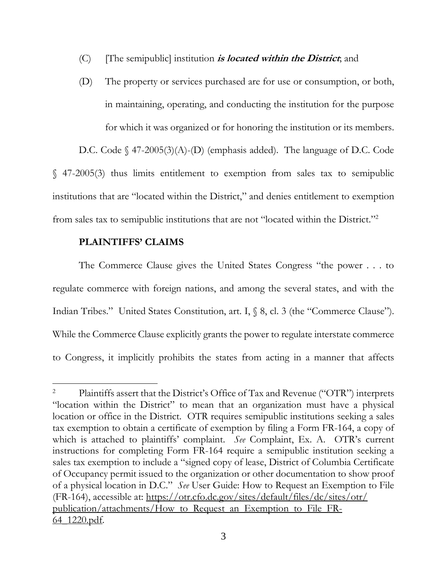- (C) [The semipublic] institution **is located within the District**; and
- (D) The property or services purchased are for use or consumption, or both, in maintaining, operating, and conducting the institution for the purpose for which it was organized or for honoring the institution or its members.

D.C. Code § 47-2005(3)(A)-(D) (emphasis added). The language of D.C. Code § 47-2005(3) thus limits entitlement to exemption from sales tax to semipublic institutions that are "located within the District," and denies entitlement to exemption from sales tax to semipublic institutions that are not "located within the District."<sup>2</sup>

## **PLAINTIFFS' CLAIMS**

 $\overline{\phantom{a}}$ 

The Commerce Clause gives the United States Congress "the power . . . to regulate commerce with foreign nations, and among the several states, and with the Indian Tribes." United States Constitution, art. I,  $\$  8, cl. 3 (the "Commerce Clause"). While the Commerce Clause explicitly grants the power to regulate interstate commerce to Congress, it implicitly prohibits the states from acting in a manner that affects

<sup>&</sup>lt;sup>2</sup> Plaintiffs assert that the District's Office of Tax and Revenue ("OTR") interprets "location within the District" to mean that an organization must have a physical location or office in the District. OTR requires semipublic institutions seeking a sales tax exemption to obtain a certificate of exemption by filing a Form FR-164, a copy of which is attached to plaintiffs' complaint. *See* Complaint, Ex. A. OTR's current instructions for completing Form FR-164 require a semipublic institution seeking a sales tax exemption to include a "signed copy of lease, District of Columbia Certificate of Occupancy permit issued to the organization or other documentation to show proof of a physical location in D.C." *See* User Guide: How to Request an Exemption to File (FR-164), accessible at: https://otr.cfo.dc.gov/sites/default/files/dc/sites/otr/ publication/attachments/How to Request an Exemption to File FR-64\_1220.pdf.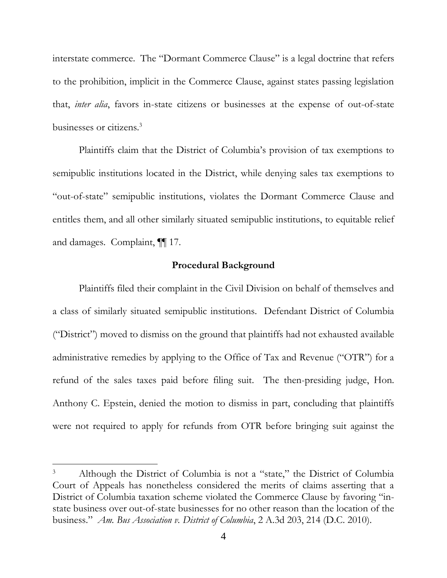interstate commerce. The "Dormant Commerce Clause" is a legal doctrine that refers to the prohibition, implicit in the Commerce Clause, against states passing legislation that, *inter alia*, favors in-state citizens or businesses at the expense of out-of-state businesses or citizens.<sup>3</sup>

Plaintiffs claim that the District of Columbia's provision of tax exemptions to semipublic institutions located in the District, while denying sales tax exemptions to "out-of-state" semipublic institutions, violates the Dormant Commerce Clause and entitles them, and all other similarly situated semipublic institutions, to equitable relief and damages. Complaint, ¶¶ 17.

### **Procedural Background**

Plaintiffs filed their complaint in the Civil Division on behalf of themselves and a class of similarly situated semipublic institutions. Defendant District of Columbia ("District") moved to dismiss on the ground that plaintiffs had not exhausted available administrative remedies by applying to the Office of Tax and Revenue ("OTR") for a refund of the sales taxes paid before filing suit. The then-presiding judge, Hon. Anthony C. Epstein, denied the motion to dismiss in part, concluding that plaintiffs were not required to apply for refunds from OTR before bringing suit against the

 $\overline{\phantom{a}}$ 

<sup>3</sup> Although the District of Columbia is not a "state," the District of Columbia Court of Appeals has nonetheless considered the merits of claims asserting that a District of Columbia taxation scheme violated the Commerce Clause by favoring "instate business over out-of-state businesses for no other reason than the location of the business." *Am. Bus Association v. District of Columbia*, 2 A.3d 203, 214 (D.C. 2010).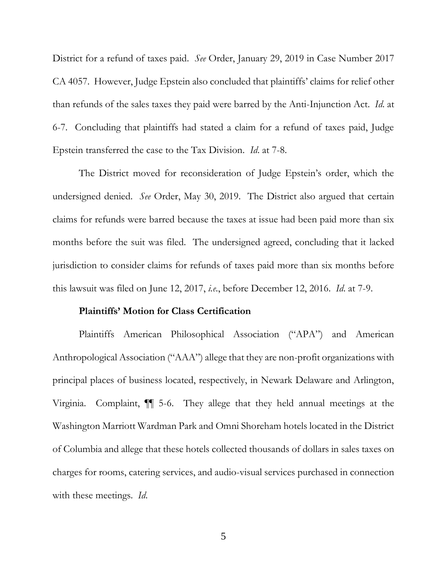District for a refund of taxes paid. *See* Order, January 29, 2019 in Case Number 2017 CA 4057. However, Judge Epstein also concluded that plaintiffs' claims for relief other than refunds of the sales taxes they paid were barred by the Anti-Injunction Act. *Id*. at 6-7. Concluding that plaintiffs had stated a claim for a refund of taxes paid, Judge Epstein transferred the case to the Tax Division. *Id*. at 7-8.

The District moved for reconsideration of Judge Epstein's order, which the undersigned denied. *See* Order, May 30, 2019. The District also argued that certain claims for refunds were barred because the taxes at issue had been paid more than six months before the suit was filed. The undersigned agreed, concluding that it lacked jurisdiction to consider claims for refunds of taxes paid more than six months before this lawsuit was filed on June 12, 2017, *i.e*., before December 12, 2016. *Id*. at 7-9.

#### **Plaintiffs' Motion for Class Certification**

Plaintiffs American Philosophical Association ("APA") and American Anthropological Association ("AAA") allege that they are non-profit organizations with principal places of business located, respectively, in Newark Delaware and Arlington, Virginia. Complaint, ¶¶ 5-6. They allege that they held annual meetings at the Washington Marriott Wardman Park and Omni Shoreham hotels located in the District of Columbia and allege that these hotels collected thousands of dollars in sales taxes on charges for rooms, catering services, and audio-visual services purchased in connection with these meetings. *Id*.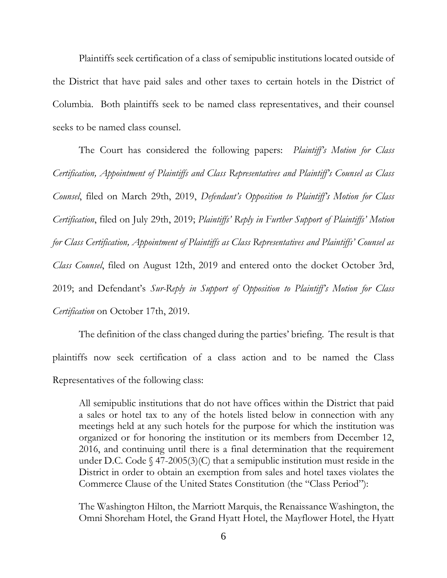Plaintiffs seek certification of a class of semipublic institutions located outside of the District that have paid sales and other taxes to certain hotels in the District of Columbia. Both plaintiffs seek to be named class representatives, and their counsel seeks to be named class counsel.

The Court has considered the following papers: *Plaintiff's Motion for Class Certification, Appointment of Plaintiffs and Class Representatives and Plaintiff's Counsel as Class Counsel*, filed on March 29th, 2019, *Defendant's Opposition to Plaintiff's Motion for Class Certification*, filed on July 29th, 2019; *Plaintiffs' Reply in Further Support of Plaintiffs' Motion for Class Certification, Appointment of Plaintiffs as Class Representatives and Plaintiffs' Counsel as Class Counsel*, filed on August 12th, 2019 and entered onto the docket October 3rd, 2019; and Defendant's *Sur-Reply in Support of Opposition to Plaintiff's Motion for Class Certification* on October 17th, 2019.

The definition of the class changed during the parties' briefing. The result is that plaintiffs now seek certification of a class action and to be named the Class Representatives of the following class:

All semipublic institutions that do not have offices within the District that paid a sales or hotel tax to any of the hotels listed below in connection with any meetings held at any such hotels for the purpose for which the institution was organized or for honoring the institution or its members from December 12, 2016, and continuing until there is a final determination that the requirement under D.C. Code  $\S$  47-2005(3)(C) that a semipublic institution must reside in the District in order to obtain an exemption from sales and hotel taxes violates the Commerce Clause of the United States Constitution (the "Class Period"):

The Washington Hilton, the Marriott Marquis, the Renaissance Washington, the Omni Shoreham Hotel, the Grand Hyatt Hotel, the Mayflower Hotel, the Hyatt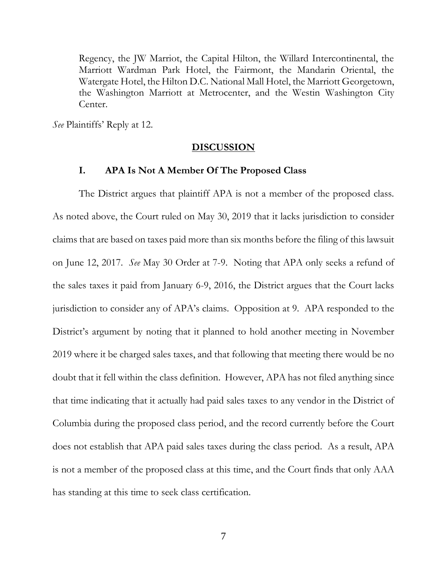Regency, the JW Marriot, the Capital Hilton, the Willard Intercontinental, the Marriott Wardman Park Hotel, the Fairmont, the Mandarin Oriental, the Watergate Hotel, the Hilton D.C. National Mall Hotel, the Marriott Georgetown, the Washington Marriott at Metrocenter, and the Westin Washington City Center.

*See* Plaintiffs' Reply at 12.

#### **DISCUSSION**

### **I. APA Is Not A Member Of The Proposed Class**

The District argues that plaintiff APA is not a member of the proposed class. As noted above, the Court ruled on May 30, 2019 that it lacks jurisdiction to consider claims that are based on taxes paid more than six months before the filing of this lawsuit on June 12, 2017. *See* May 30 Order at 7-9. Noting that APA only seeks a refund of the sales taxes it paid from January 6-9, 2016, the District argues that the Court lacks jurisdiction to consider any of APA's claims. Opposition at 9. APA responded to the District's argument by noting that it planned to hold another meeting in November 2019 where it be charged sales taxes, and that following that meeting there would be no doubt that it fell within the class definition. However, APA has not filed anything since that time indicating that it actually had paid sales taxes to any vendor in the District of Columbia during the proposed class period, and the record currently before the Court does not establish that APA paid sales taxes during the class period. As a result, APA is not a member of the proposed class at this time, and the Court finds that only AAA has standing at this time to seek class certification.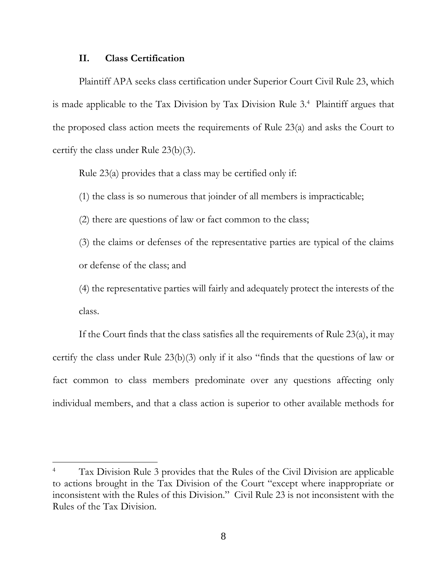## **II. Class Certification**

 $\overline{\phantom{a}}$ 

Plaintiff APA seeks class certification under Superior Court Civil Rule 23, which is made applicable to the Tax Division by Tax Division Rule 3.<sup>4</sup> Plaintiff argues that the proposed class action meets the requirements of Rule 23(a) and asks the Court to certify the class under Rule 23(b)(3).

Rule 23(a) provides that a class may be certified only if:

(1) the class is so numerous that joinder of all members is impracticable;

(2) there are questions of law or fact common to the class;

(3) the claims or defenses of the representative parties are typical of the claims or defense of the class; and

(4) the representative parties will fairly and adequately protect the interests of the class.

If the Court finds that the class satisfies all the requirements of Rule 23(a), it may certify the class under Rule 23(b)(3) only if it also "finds that the questions of law or fact common to class members predominate over any questions affecting only individual members, and that a class action is superior to other available methods for

Tax Division Rule 3 provides that the Rules of the Civil Division are applicable to actions brought in the Tax Division of the Court "except where inappropriate or inconsistent with the Rules of this Division." Civil Rule 23 is not inconsistent with the Rules of the Tax Division.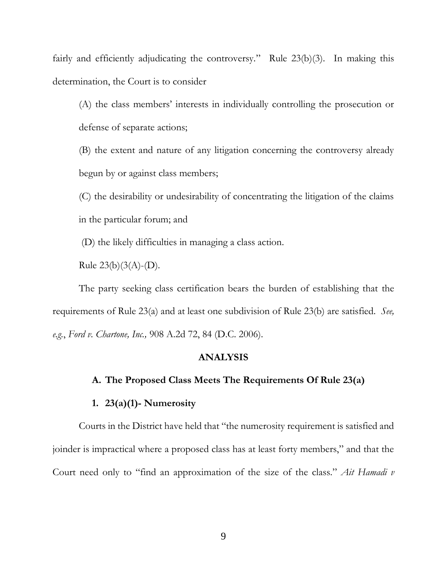fairly and efficiently adjudicating the controversy." Rule 23(b)(3). In making this determination, the Court is to consider

(A) the class members' interests in individually controlling the prosecution or defense of separate actions;

(B) the extent and nature of any litigation concerning the controversy already begun by or against class members;

(C) the desirability or undesirability of concentrating the litigation of the claims in the particular forum; and

(D) the likely difficulties in managing a class action.

Rule  $23(b)(3(A)-(D)).$ 

The party seeking class certification bears the burden of establishing that the requirements of Rule 23(a) and at least one subdivision of Rule 23(b) are satisfied. *See, e.g.*, *Ford v. Chartone, Inc.,* 908 A.2d 72, 84 (D.C. 2006).

## **ANALYSIS**

#### **A. The Proposed Class Meets The Requirements Of Rule 23(a)**

#### **1. 23(a)(1)- Numerosity**

Courts in the District have held that "the numerosity requirement is satisfied and joinder is impractical where a proposed class has at least forty members," and that the Court need only to "find an approximation of the size of the class." *Ait Hamadi v*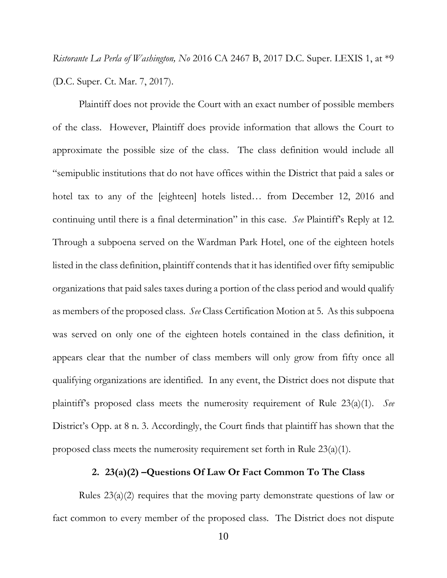*Ristorante La Perla of Washington, No* 2016 CA 2467 B, 2017 D.C. Super. LEXIS 1, at \*9 (D.C. Super. Ct. Mar. 7, 2017).

Plaintiff does not provide the Court with an exact number of possible members of the class. However, Plaintiff does provide information that allows the Court to approximate the possible size of the class. The class definition would include all "semipublic institutions that do not have offices within the District that paid a sales or hotel tax to any of the [eighteen] hotels listed... from December 12, 2016 and continuing until there is a final determination" in this case. *See* Plaintiff's Reply at 12. Through a subpoena served on the Wardman Park Hotel, one of the eighteen hotels listed in the class definition, plaintiff contends that it has identified over fifty semipublic organizations that paid sales taxes during a portion of the class period and would qualify as members of the proposed class. *See* Class Certification Motion at 5. As this subpoena was served on only one of the eighteen hotels contained in the class definition, it appears clear that the number of class members will only grow from fifty once all qualifying organizations are identified. In any event, the District does not dispute that plaintiff's proposed class meets the numerosity requirement of Rule 23(a)(1). *See* District's Opp. at 8 n. 3. Accordingly, the Court finds that plaintiff has shown that the proposed class meets the numerosity requirement set forth in Rule 23(a)(1).

### **2. 23(a)(2) –Questions Of Law Or Fact Common To The Class**

Rules 23(a)(2) requires that the moving party demonstrate questions of law or fact common to every member of the proposed class. The District does not dispute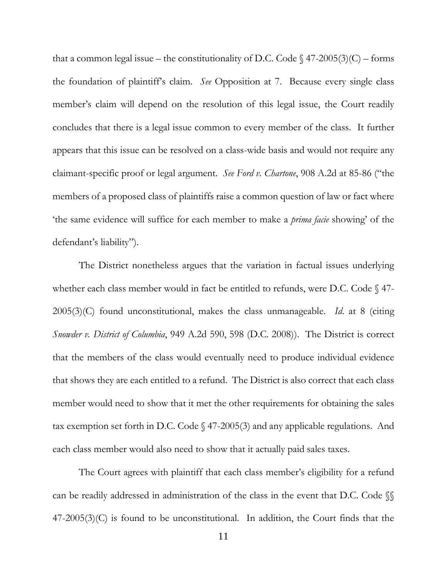that a common legal issue – the constitutionality of D.C. Code  $\frac{2005(3)(C)}{2005(3)}$  – forms the foundation of plaintiff's claim. *See* Opposition at 7. Because every single class member's claim will depend on the resolution of this legal issue, the Court readily concludes that there is a legal issue common to every member of the class. It further appears that this issue can be resolved on a class-wide basis and would not require any claimant-specific proof or legal argument. *See Ford v. Chartone*, 908 A.2d at 85-86 ("the members of a proposed class of plaintiffs raise a common question of law or fact where 'the same evidence will suffice for each member to make a *prima facie* showing' of the defendant's liability").

The District nonetheless argues that the variation in factual issues underlying whether each class member would in fact be entitled to refunds, were D.C. Code § 47- 2005(3)(C) found unconstitutional, makes the class unmanageable. *Id*. at 8 (citing *Snowder v. District of Columbia*, 949 A.2d 590, 598 (D.C. 2008)). The District is correct that the members of the class would eventually need to produce individual evidence that shows they are each entitled to a refund. The District is also correct that each class member would need to show that it met the other requirements for obtaining the sales tax exemption set forth in D.C. Code § 47-2005(3) and any applicable regulations. And each class member would also need to show that it actually paid sales taxes.

The Court agrees with plaintiff that each class member's eligibility for a refund can be readily addressed in administration of the class in the event that D.C. Code §§ 47-2005(3)(C) is found to be unconstitutional. In addition, the Court finds that the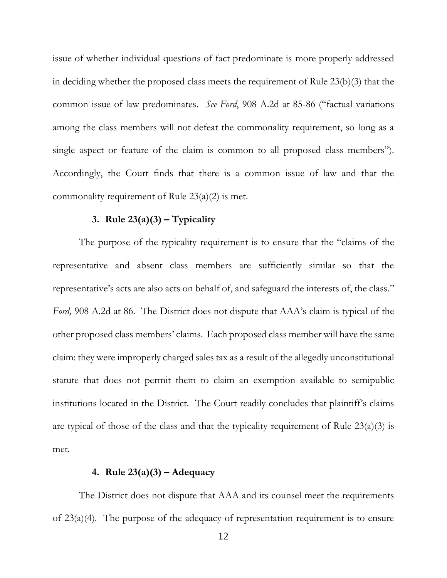issue of whether individual questions of fact predominate is more properly addressed in deciding whether the proposed class meets the requirement of Rule 23(b)(3) that the common issue of law predominates. *See Ford*, 908 A.2d at 85-86 ("factual variations among the class members will not defeat the commonality requirement, so long as a single aspect or feature of the claim is common to all proposed class members"). Accordingly, the Court finds that there is a common issue of law and that the commonality requirement of Rule 23(a)(2) is met.

## **3. Rule 23(a)(3)** – **Typicality**

The purpose of the typicality requirement is to ensure that the "claims of the representative and absent class members are sufficiently similar so that the representative's acts are also acts on behalf of, and safeguard the interests of, the class." *Ford,* 908 A.2d at 86. The District does not dispute that AAA's claim is typical of the other proposed class members' claims. Each proposed class member will have the same claim: they were improperly charged sales tax as a result of the allegedly unconstitutional statute that does not permit them to claim an exemption available to semipublic institutions located in the District. The Court readily concludes that plaintiff's claims are typical of those of the class and that the typicality requirement of Rule  $23(a)(3)$  is met.

# **4. Rule 23(a)(3) – Adequacy**

The District does not dispute that AAA and its counsel meet the requirements of 23(a)(4). The purpose of the adequacy of representation requirement is to ensure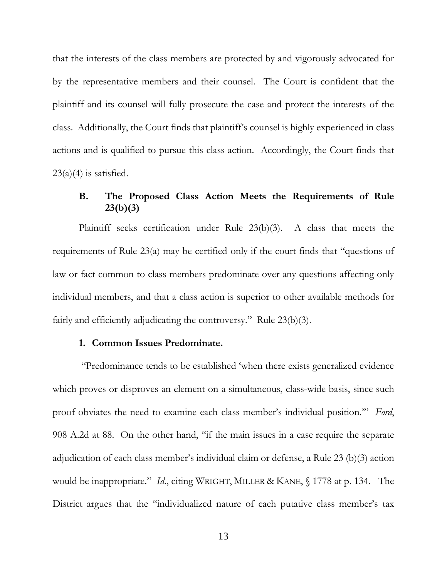that the interests of the class members are protected by and vigorously advocated for by the representative members and their counsel. The Court is confident that the plaintiff and its counsel will fully prosecute the case and protect the interests of the class. Additionally, the Court finds that plaintiff's counsel is highly experienced in class actions and is qualified to pursue this class action. Accordingly, the Court finds that  $23(a)(4)$  is satisfied.

# **B. The Proposed Class Action Meets the Requirements of Rule 23(b)(3)**

Plaintiff seeks certification under Rule 23(b)(3). A class that meets the requirements of Rule 23(a) may be certified only if the court finds that "questions of law or fact common to class members predominate over any questions affecting only individual members, and that a class action is superior to other available methods for fairly and efficiently adjudicating the controversy." Rule 23(b)(3).

#### **1. Common Issues Predominate.**

"Predominance tends to be established 'when there exists generalized evidence which proves or disproves an element on a simultaneous, class-wide basis, since such proof obviates the need to examine each class member's individual position.'" *Ford*, 908 A.2d at 88. On the other hand, "if the main issues in a case require the separate adjudication of each class member's individual claim or defense, a Rule 23 (b)(3) action would be inappropriate." *Id*., citing WRIGHT, MILLER & KANE, § 1778 at p. 134. The District argues that the "individualized nature of each putative class member's tax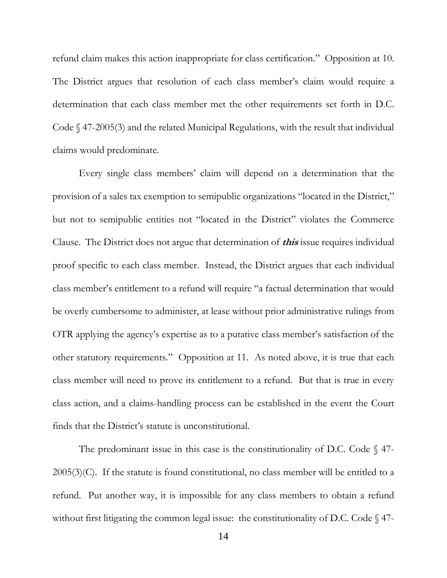refund claim makes this action inappropriate for class certification." Opposition at 10. The District argues that resolution of each class member's claim would require a determination that each class member met the other requirements set forth in D.C. Code  $\Diamond$  47-2005(3) and the related Municipal Regulations, with the result that individual claims would predominate.

Every single class members' claim will depend on a determination that the provision of a sales tax exemption to semipublic organizations "located in the District," but not to semipublic entities not "located in the District" violates the Commerce Clause. The District does not argue that determination of **this** issue requires individual proof specific to each class member. Instead, the District argues that each individual class member's entitlement to a refund will require "a factual determination that would be overly cumbersome to administer, at lease without prior administrative rulings from OTR applying the agency's expertise as to a putative class member's satisfaction of the other statutory requirements." Opposition at 11. As noted above, it is true that each class member will need to prove its entitlement to a refund. But that is true in every class action, and a claims-handling process can be established in the event the Court finds that the District's statute is unconstitutional.

The predominant issue in this case is the constitutionality of D.C. Code  $\S$  47- $2005(3)(C)$ . If the statute is found constitutional, no class member will be entitled to a refund. Put another way, it is impossible for any class members to obtain a refund without first litigating the common legal issue: the constitutionality of D.C. Code  $\S$  47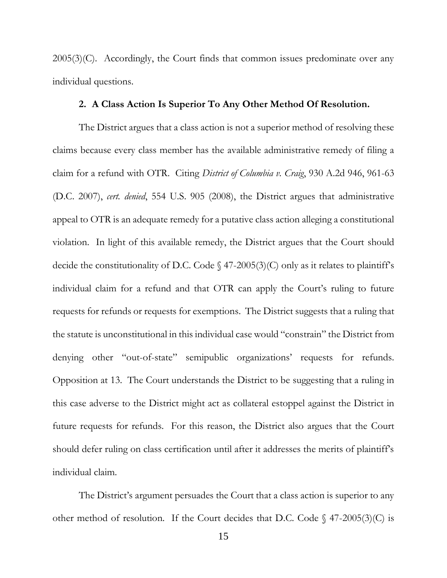$2005(3)(C)$ . Accordingly, the Court finds that common issues predominate over any individual questions.

## **2. A Class Action Is Superior To Any Other Method Of Resolution.**

The District argues that a class action is not a superior method of resolving these claims because every class member has the available administrative remedy of filing a claim for a refund with OTR. Citing *District of Columbia v. Craig*, 930 A.2d 946, 961-63 (D.C. 2007), *cert. denied*, 554 U.S. 905 (2008), the District argues that administrative appeal to OTR is an adequate remedy for a putative class action alleging a constitutional violation. In light of this available remedy, the District argues that the Court should decide the constitutionality of D.C. Code  $\S$  47-2005(3)(C) only as it relates to plaintiff's individual claim for a refund and that OTR can apply the Court's ruling to future requests for refunds or requests for exemptions. The District suggests that a ruling that the statute is unconstitutional in this individual case would "constrain" the District from denying other "out-of-state" semipublic organizations' requests for refunds. Opposition at 13. The Court understands the District to be suggesting that a ruling in this case adverse to the District might act as collateral estoppel against the District in future requests for refunds. For this reason, the District also argues that the Court should defer ruling on class certification until after it addresses the merits of plaintiff's individual claim.

The District's argument persuades the Court that a class action is superior to any other method of resolution. If the Court decides that D.C. Code  $\binom{47-2005(3)}{C}$  is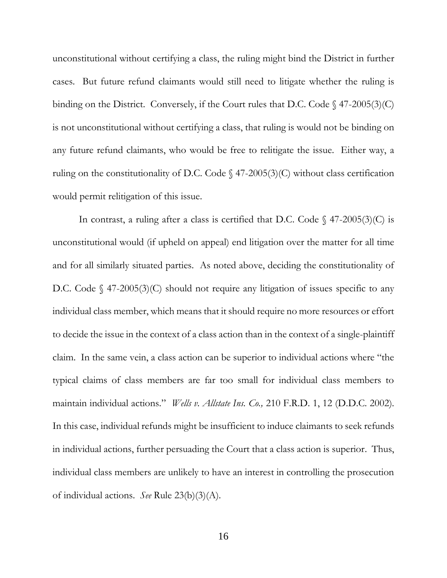unconstitutional without certifying a class, the ruling might bind the District in further cases. But future refund claimants would still need to litigate whether the ruling is binding on the District. Conversely, if the Court rules that D.C. Code  $\{\frac{47-2005(3)}{C}\}$ is not unconstitutional without certifying a class, that ruling is would not be binding on any future refund claimants, who would be free to relitigate the issue. Either way, a ruling on the constitutionality of D.C. Code  $\frac{47-2005}{3}$  (C) without class certification would permit relitigation of this issue.

In contrast, a ruling after a class is certified that D.C. Code  $\S$  47-2005(3)(C) is unconstitutional would (if upheld on appeal) end litigation over the matter for all time and for all similarly situated parties. As noted above, deciding the constitutionality of D.C. Code  $\S$  47-2005(3)(C) should not require any litigation of issues specific to any individual class member, which means that it should require no more resources or effort to decide the issue in the context of a class action than in the context of a single-plaintiff claim. In the same vein, a class action can be superior to individual actions where "the typical claims of class members are far too small for individual class members to maintain individual actions." *Wells v. Allstate Ins. Co.,* 210 F.R.D. 1, 12 (D.D.C. 2002). In this case, individual refunds might be insufficient to induce claimants to seek refunds in individual actions, further persuading the Court that a class action is superior. Thus, individual class members are unlikely to have an interest in controlling the prosecution of individual actions. *See* Rule 23(b)(3)(A).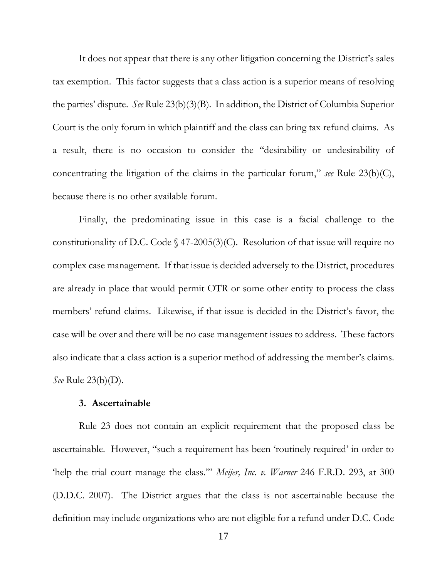It does not appear that there is any other litigation concerning the District's sales tax exemption. This factor suggests that a class action is a superior means of resolving the parties' dispute. *See* Rule 23(b)(3)(B). In addition, the District of Columbia Superior Court is the only forum in which plaintiff and the class can bring tax refund claims. As a result, there is no occasion to consider the "desirability or undesirability of concentrating the litigation of the claims in the particular forum," *see* Rule 23(b)(C), because there is no other available forum.

Finally, the predominating issue in this case is a facial challenge to the constitutionality of D.C. Code  $\S$  47-2005(3)(C). Resolution of that issue will require no complex case management. If that issue is decided adversely to the District, procedures are already in place that would permit OTR or some other entity to process the class members' refund claims. Likewise, if that issue is decided in the District's favor, the case will be over and there will be no case management issues to address. These factors also indicate that a class action is a superior method of addressing the member's claims. *See* Rule 23(b)(D).

#### **3. Ascertainable**

Rule 23 does not contain an explicit requirement that the proposed class be ascertainable. However, "such a requirement has been 'routinely required' in order to 'help the trial court manage the class.'" *Meijer, Inc. v. Warner* 246 F.R.D. 293, at 300 (D.D.C. 2007). The District argues that the class is not ascertainable because the definition may include organizations who are not eligible for a refund under D.C. Code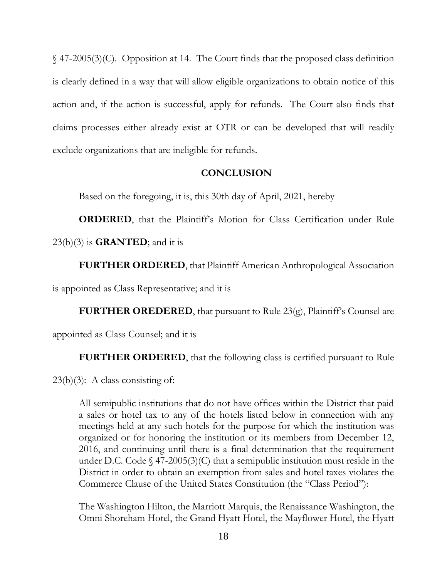§ 47-2005(3)(C). Opposition at 14. The Court finds that the proposed class definition is clearly defined in a way that will allow eligible organizations to obtain notice of this action and, if the action is successful, apply for refunds. The Court also finds that claims processes either already exist at OTR or can be developed that will readily exclude organizations that are ineligible for refunds.

### **CONCLUSION**

Based on the foregoing, it is, this 30th day of April, 2021, hereby

**ORDERED**, that the Plaintiff's Motion for Class Certification under Rule 23(b)(3) is **GRANTED**; and it is

**FURTHER ORDERED**, that Plaintiff American Anthropological Association

is appointed as Class Representative; and it is

**FURTHER OREDERED**, that pursuant to Rule 23(g), Plaintiff's Counsel are

appointed as Class Counsel; and it is

**FURTHER ORDERED**, that the following class is certified pursuant to Rule

 $23(b)(3)$ : A class consisting of:

All semipublic institutions that do not have offices within the District that paid a sales or hotel tax to any of the hotels listed below in connection with any meetings held at any such hotels for the purpose for which the institution was organized or for honoring the institution or its members from December 12, 2016, and continuing until there is a final determination that the requirement under D.C. Code  $\S$  47-2005(3)(C) that a semipublic institution must reside in the District in order to obtain an exemption from sales and hotel taxes violates the Commerce Clause of the United States Constitution (the "Class Period"):

The Washington Hilton, the Marriott Marquis, the Renaissance Washington, the Omni Shoreham Hotel, the Grand Hyatt Hotel, the Mayflower Hotel, the Hyatt